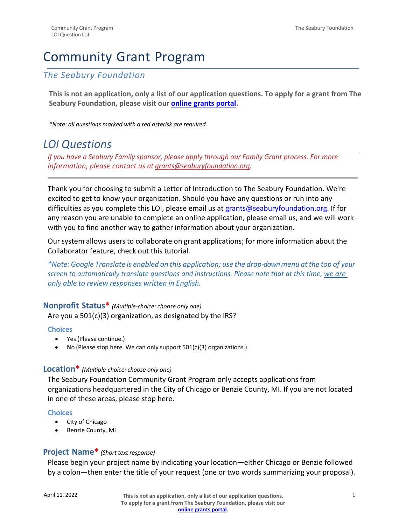# Community Grant Program

# *The Seabury Foundation*

**This is not an application, only a list of our application questions. To apply for a grant from The Seabury Foundation, please visit our [online grants portal.](https://www.grantinterface.com/Home/Logon?urlkey=seaburyfoundation)**

*\*Note: all questions marked with a red asterisk are required.*

# *LOI Questions*

*If you have a Seabury Family sponsor, please apply through our Family Grant process. For more information, please contact us at [grants@seaburyfoundation.org.](mailto:grants@seaburyfoundation.org)*

Thank you for choosing to submit a Letter of Introduction to The Seabury Foundation. We're excited to get to know your organization. Should you have any questions or run into any difficulties as you complete this LOI, please email us at [grants@seaburyfoundation.org. I](mailto:grants@seaburyfoundation.org)f for any reason you are unable to complete an online application, please [email](mailto:grants@seaburyfoundation.org) us, and we will work with you to find another way to gather information about your organization.

Our system allows users to collaborate on grant applications; for more information about the Collaborator feature, check out [this tutoria](https://support.foundant.com/hc/en-us/articles/4523887747223-Applicant-Tutorial-Collaborator)l.

*\*Note: Google Translate is enabled on this application; use the drop-downmenu at the top of your screen to automatically translate questions and instructions. Please note that at this time, we are only able to review responses written in English.*

### **Nonprofit Status\*** *(Multiple-choice: choose only one)*

Are you a 501(c)(3) organization, as designated by the IRS?

### **Choices**

- Yes (Please continue.)
- No (Please stop here. We can only support 501(c)(3) organizations.)

## **Location\*** *(Multiple-choice: choose only one)*

The Seabury Foundation Community Grant Program only accepts applications from organizations headquartered in the City of Chicago or Benzie County, MI. If you are not located in one of these areas, please stop here.

### **Choices**

- City of Chicago
- Benzie County, MI

# **Project Name\*** *(Short text response)*

Please begin your project name by indicating your location—either Chicago or Benzie followed by a colon—then enter the title of your request (one or two words summarizing your proposal).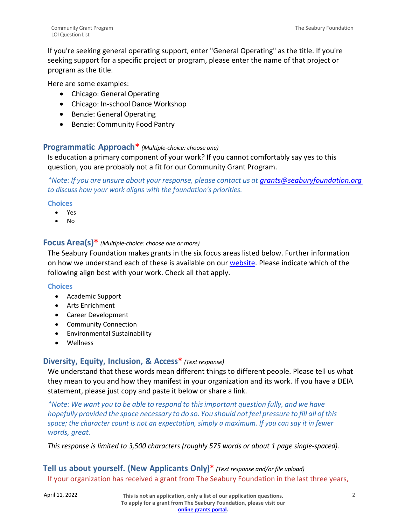If you're seeking general operating support, enter "General Operating" as the title. If you're seeking support for a specific project or program, please enter the name of that project or program as the title.

Here are some examples:

- Chicago: General Operating
- Chicago: In-school Dance Workshop
- Benzie: General Operating
- Benzie: Community Food Pantry

### **Programmatic Approach\*** *(Multiple-choice: choose one)*

Is education a primary component of your work? If you cannot comfortably say yes to this question, you are probably not a fit for our Community Grant Program.

*\*Note: If you are unsure about your response, please contact us at [grants@seaburyfoundation.org](mailto:grants@seaburyfoundation.org)  to discuss how your work aligns with the foundation's priorities.*

### **Choices**

- Yes
- No

### **Focus Area(s)\*** *(Multiple-choice: choose one or more)*

The Seabury Foundation makes grants in the six focus areas listed below. Further information on how we understand each of these is available on our [website. P](https://seaburyfoundation.org/applying-for-a-grant/)lease indicate which of the following align best with your work. Check all that apply.

### **Choices**

- Academic Support
- Arts Enrichment
- Career Development
- Community Connection
- Environmental Sustainability
- Wellness

### **Diversity, Equity, Inclusion, & Access\*** *(Text response)*

We understand that these words mean different things to different people. Please tell us what they mean to you and how they manifest in your organization and its work. If you have a DEIA statement, please just copy and paste it below or share a link.

*\*Note: We want you to be able to respond to thisimportant question fully, and we have hopefully provided the space necessary to do so. You should notfeel pressure to fill all ofthis space; the character count is not an expectation, simply a maximum. If you can say it in fewer words, great.*

*This response is limited to 3,500 characters (roughly 575 words or about 1 page single-spaced).*

# **Tell us about yourself. (New Applicants Only)\*** *(Text response and/or file upload)* If your organization has received a grant from The Seabury Foundation in the last three years,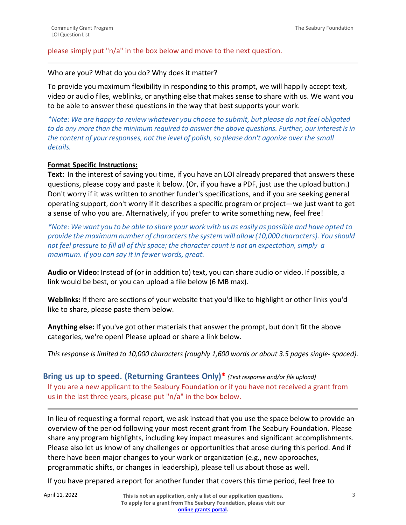### please simply put "n/a" in the box below and move to the next question.

### Who are you? What do you do? Why does it matter?

To provide you maximum flexibility in responding to this prompt, we will happily accept text, video or audio files, weblinks, or anything else that makes sense to share with us. We want you to be able to answer these questions in the way that best supports your work.

*\*Note: We are happy to review whatever you choose to submit, but please do not feel obligated to do any more than the minimum required to answer the above questions. Further, our interest isin the content of your responses, not the level of polish,so please don't agonize over the small details.*

### **Format Specific Instructions:**

**Text:** In the interest of saving you time, if you have an LOI already prepared that answers these questions, please copy and paste it below. (Or, if you have a PDF, just use the upload button.) Don't worry if it was written to another funder's specifications, and if you are seeking general operating support, don't worry if it describes a specific program or project—we just want to get a sense of who you are. Alternatively, if you prefer to write something new, feel free!

\*Note: We want you to be able to share your work with us as easily as possible and have opted to *provide the maximum number of charactersthe system will allow (10,000 characters). You should not feel pressure to fill all of this space; the character count is not an expectation, simply a maximum. If you can say it in fewer words, great.*

**Audio or Video:** Instead of (or in addition to) text, you can share audio or video. If possible, a link would be best, or you can upload a file below (6 MB max).

**Weblinks:** If there are sections of your website that you'd like to highlight or other links you'd like to share, please paste them below.

**Anything else:** If you've got other materials that answer the prompt, but don't fit the above categories, we're open! Please upload or share a link below.

*This response is limited to 10,000 characters (roughly 1,600 words or about 3.5 pages single- spaced).*

**Bring us up to speed. (Returning Grantees Only)\*** *(Text response and/or file upload)* If you are a new applicant to the Seabury Foundation or if you have not received a grant from us in the last three years, please put "n/a" in the box below.

In lieu of requesting a formal report, we ask instead that you use the space below to provide an overview of the period following your most recent grant from The Seabury Foundation. Please share any program highlights, including key impact measures and significant accomplishments. Please also let us know of any challenges or opportunities that arose during this period. And if there have been major changes to your work or organization (e.g., new approaches, programmatic shifts, or changes in leadership), please tell us about those as well.

If you have prepared a report for another funder that covers this time period, feel free to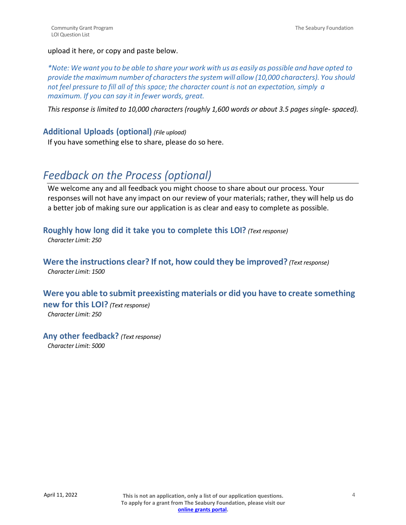### upload it here, or copy and paste below.

\*Note: We want you to be able to share your work with us as easily as possible and have opted to *provide the maximum number of charactersthe system will allow (10,000 characters). You should not feel pressure to fill all of this space; the character count is not an expectation, simply a maximum. If you can say it in fewer words, great.*

*This response is limited to 10,000 characters (roughly 1,600 words or about 3.5 pages single- spaced).*

## **Additional Uploads (optional)** *(File upload)*

If you have something else to share, please do so here.

# *Feedback on the Process (optional)*

We welcome any and all feedback you might choose to share about our process. Your responses will not have any impact on our review of your materials; rather, they will help us do a better job of making sure our application is as clear and easy to complete as possible.

**Roughly how long did it take you to complete this LOI?** *(Text response) Character Limit: 250*

**Were the instructions clear? If not, how could they be improved?** *(Text response) Character Limit: 1500*

# **Were you able to submit preexisting materials or did you have to create something**

**new for this LOI?** *(Text response)*

*Character Limit: 250*

### **Any other feedback?** *(Text response)*

*Character Limit: 5000*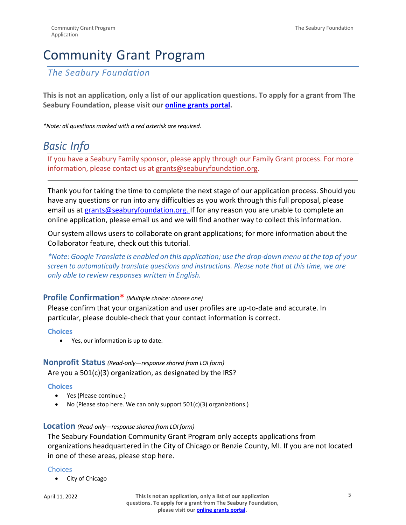# Community Grant Program

*The Seabury Foundation*

**This is not an application, only a list of our application questions. To apply for a grant from The Seabury Foundation, please visit our [online grants portal.](https://www.grantinterface.com/Home/Logon?urlkey=seaburyfoundation)**

*\*Note: all questions marked with a red asterisk are required.*

# *Basic Info*

If you have a Seabury Family sponsor, please apply through our Family Grant process. For more information, please contact us at [grants@seaburyfoundation.org.](mailto:grants@seaburyfoundation.org)

Thank you for taking the time to complete the next stage of our application process. Should you have any questions or run into any difficulties as you work through this full proposal, please email us a[t grants@seaburyfoundation.org. I](mailto:grants@seaburyfoundation.org)f for any reason you are unable to complete an online application, please [email us a](mailto:grants@seaburyfoundation.org)nd we will find another way to collect this information.

Our system allows users to collaborate on grant applications; for more information about the Collaborator feature, check out [this tutoria](https://support.foundant.com/hc/en-us/articles/4523887747223-Applicant-Tutorial-Collaborator)l.

*\*Note: Google Translate is enabled on this application; use the drop-down menu at the top of your screen to automatically translate questions and instructions. Please note that at this time, we are only able to review responses written in English.*

# **Profile Confirmation\*** *(Multiple choice: choose one)*

Please confirm that your organization and user profiles are up-to-date and accurate. In particular, please double-check that your contact information is correct.

### **Choices**

• Yes, our information is up to date.

# **Nonprofit Status** *(Read-only—response shared from LOI form)* Are you a 501(c)(3) organization, as designated by the IRS?

### **Choices**

- Yes (Please continue.)
- No (Please stop here. We can only support 501(c)(3) organizations.)

### **Location** *(Read-only—response shared from LOI form)*

The Seabury Foundation Community Grant Program only accepts applications from organizations headquartered in the City of Chicago or Benzie County, MI. If you are not located in one of these areas, please stop here.

### **Choices**

• City of Chicago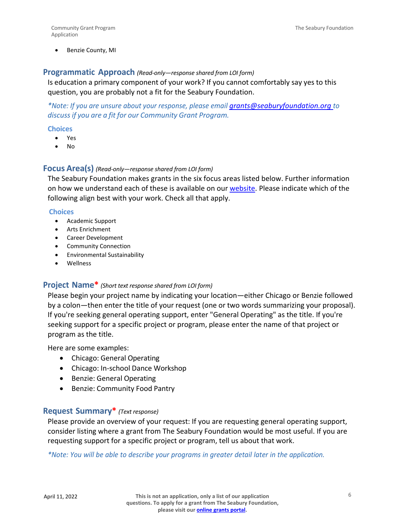Benzie County, MI

### **Programmatic Approach** *(Read-only—response shared from LOI form)*

Is education a primary component of your work? If you cannot comfortably say yes to this question, you are probably not a fit for the Seabury Foundation.

*\*Note: If you are unsure about your response, please email [grants@seaburyfoundation.org](mailto:grants@seaburyfoundation.org) to discussif you are a fit for our Community Grant Program.*

### **Choices**

- Yes
- No

### **Focus Area(s)** *(Read-only—response shared from LOI form)*

The Seabury Foundation makes grants in the six focus areas listed below. Further information on how we understand each of these is available on our [website. P](https://seaburyfoundation.org/applying-for-a-grant/)lease indicate which of the following align best with your work. Check all that apply.

#### **Choices**

- Academic Support
- Arts Enrichment
- Career Development
- Community Connection
- Environmental Sustainability
- Wellness

### **Project Name\*** *(Short text response shared from LOI form)*

Please begin your project name by indicating your location—either Chicago or Benzie followed by a colon—then enter the title of your request (one or two words summarizing your proposal). If you're seeking general operating support, enter "General Operating" as the title. If you're seeking support for a specific project or program, please enter the name of that project or program as the title.

Here are some examples:

- Chicago: General Operating
- Chicago: In-school Dance Workshop
- Benzie: General Operating
- Benzie: Community Food Pantry

## **Request Summary\*** *(Text response)*

Please provide an overview of your request: If you are requesting general operating support, consider listing where a grant from The Seabury Foundation would be most useful. If you are requesting support for a specific project or program, tell us about that work.

*\*Note: You will be able to describe your programs in greater detail later in the application.*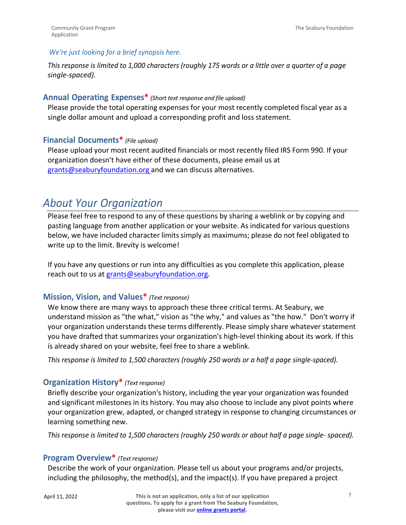### *We're just looking for a brief synopsis here.*

*This response is limited to 1,000 characters (roughly 175 words or a little over a quarter of a page single-spaced).*

### **Annual Operating Expenses\*** *(Short text response and file upload)*

Please provide the total operating expenses for your most recently completed fiscal year as a single dollar amount and upload a corresponding profit and loss statement.

# **Financial Documents\*** *(File upload)*

Please upload your most recent audited financials or most recently filed IRS Form 990. If your organization doesn't have either of these documents, please email us at [grants@seaburyfoundation.org a](mailto:grants@seaburyfoundation.org)nd we can discuss alternatives.

# *About Your Organization*

Please feel free to respond to any of these questions by sharing a weblink or by copying and pasting language from another application or your website. As indicated for various questions below, we have included character limits simply as maximums; please do not feel obligated to write up to the limit. Brevity is welcome!

If you have any questions or run into any difficulties as you complete this application, please reach out to us at [grants@seaburyfoundation.org.](mailto:grants@seaburyfoundation.org)

### **Mission, Vision, and Values\*** *(Text response)*

We know there are many ways to approach these three critical terms. At Seabury, we understand mission as "the what," vision as "the why," and values as "the how." Don't worry if your organization understands these terms differently. Please simply share whatever statement you have drafted that summarizes your organization's high-level thinking about its work. If this is already shared on your website, feel free to share a weblink.

*This response is limited to 1,500 characters (roughly 250 words or a half a page single-spaced).*

# **Organization History\*** *(Text response)*

Briefly describe your organization's history, including the year your organization was founded and significant milestones in its history. You may also choose to include any pivot points where your organization grew, adapted, or changed strategy in response to changing circumstances or learning something new.

*This response is limited to 1,500 characters (roughly 250 words or about half a page single- spaced).*

# **Program Overview\*** *(Text response)*

Describe the work of your organization. Please tell us about your programs and/or projects, including the philosophy, the method(s), and the impact(s). If you have prepared a project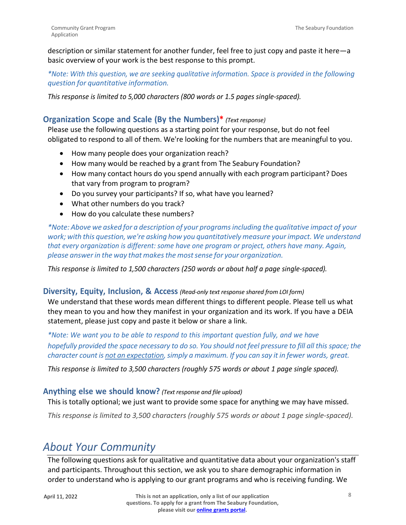description or similar statement for another funder, feel free to just copy and paste it here—a basic overview of your work is the best response to this prompt.

*\*Note: With this question, we are seeking qualitative information. Space is provided in the following question for quantitative information.*

*This response is limited to 5,000 characters (800 words or 1.5 pages single-spaced).*

# **Organization Scope and Scale (By the Numbers)\*** *(Text response)*

Please use the following questions as a starting point for your response, but do not feel obligated to respond to all of them. We're looking for the numbers that are meaningful to you.

- How many people does your organization reach?
- How many would be reached by a grant from The Seabury Foundation?
- How many contact hours do you spend annually with each program participant? Does that vary from program to program?
- Do you survey your participants? If so, what have you learned?
- What other numbers do you track?
- How do you calculate these numbers?

*\*Note: Above we asked for a description of your programsincluding the qualitative impact of your work; with this question, we're asking how you quantitatively measure yourimpact. We understand that every organization is different: some have one program or project, others have many. Again, please answerin the way that makesthe mostsense for your organization.*

*This response is limited to 1,500 characters (250 words or about half a page single-spaced).*

### **Diversity, Equity, Inclusion, & Access** *(Read-only text response shared from LOI form)*

We understand that these words mean different things to different people. Please tell us what they mean to you and how they manifest in your organization and its work. If you have a DEIA statement, please just copy and paste it below or share a link.

*\*Note: We want you to be able to respond to this important question fully, and we have* hopefully provided the space necessary to do so. You should not feel pressure to fill all this space; the *character count is not an expectation,simply a maximum. If you can say it in fewer words, great.*

*This response is limited to 3,500 characters (roughly 575 words or about 1 page single spaced).*

### **Anything else we should know?** *(Text response and file upload)*

This is totally optional; we just want to provide some space for anything we may have missed.

*This response is limited to 3,500 characters (roughly 575 words or about 1 page single-spaced).*

# *About Your Community*

The following questions ask for qualitative and quantitative data about your organization's staff and participants. Throughout this section, we ask you to share demographic information in order to understand who is applying to our grant programs and who is receiving funding. We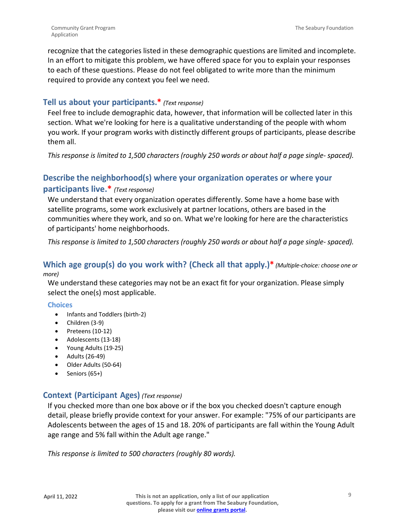recognize that the categories listed in these demographic questions are limited and incomplete. In an effort to mitigate this problem, we have offered space for you to explain your responses to each of these questions. Please do not feel obligated to write more than the minimum required to provide any context you feel we need.

# **Tell us about your participants.\*** *(Text response)*

Feel free to include demographic data, however, that information will be collected later in this section. What we're looking for here is a qualitative understanding of the people with whom you work. If your program works with distinctly different groups of participants, please describe them all.

*This response is limited to 1,500 characters (roughly 250 words or about half a page single- spaced).*

# **Describe the neighborhood(s) where your organization operates or where your participants live.\*** *(Text response)*

We understand that every organization operates differently. Some have a home base with satellite programs, some work exclusively at partner locations, others are based in the communities where they work, and so on. What we're looking for here are the characteristics of participants' home neighborhoods.

*This response is limited to 1,500 characters (roughly 250 words or about half a page single- spaced).*

# **Which age group(s) do you work with? (Check all that apply.)\*** *(Multiple-choice: choose one or more)*

We understand these categories may not be an exact fit for your organization. Please simply select the one(s) most applicable.

### **Choices**

- Infants and Toddlers (birth-2)
- Children (3-9)
- Preteens (10-12)
- Adolescents (13-18)
- Young Adults (19-25)
- Adults (26-49)
- Older Adults (50-64)
- Seniors (65+)

# **Context (Participant Ages)** *(Text response)*

If you checked more than one box above or if the box you checked doesn't capture enough detail, please briefly provide context for your answer. For example: "75% of our participants are Adolescents between the ages of 15 and 18. 20% of participants are fall within the Young Adult age range and 5% fall within the Adult age range."

*This response is limited to 500 characters (roughly 80 words).*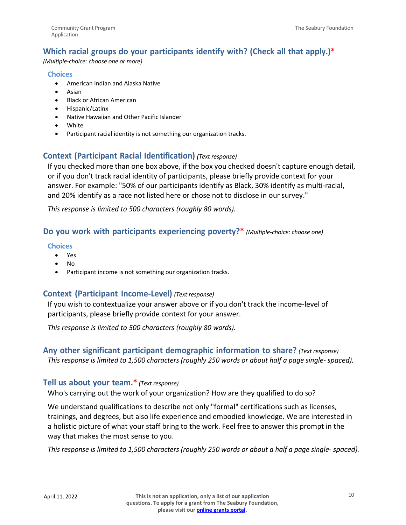# **Which racial groups do your participants identify with? (Check all that apply.)\***

*(Multiple-choice: choose one or more)*

### **Choices**

- American Indian and Alaska Native
- Asian
- Black or African American
- Hispanic/Latinx
- Native Hawaiian and Other Pacific Islander
- White
- Participant racial identity is not something our organization tracks.

# **Context (Participant Racial Identification)** *(Text response)*

If you checked more than one box above, if the box you checked doesn't capture enough detail, or if you don't track racial identity of participants, please briefly provide context for your answer. For example: "50% of our participants identify as Black, 30% identify as multi-racial, and 20% identify as a race not listed here or chose not to disclose in our survey."

*This response is limited to 500 characters (roughly 80 words).*

# **Do you work with participants experiencing poverty?\*** *(Multiple-choice: choose one)*

## **Choices**

- Yes
- No
- Participant income is not something our organization tracks.

# **Context (Participant Income-Level)** *(Text response)*

If you wish to contextualize your answer above or if you don't track the income-level of participants, please briefly provide context for your answer.

*This response is limited to 500 characters (roughly 80 words).*

# **Any other significant participant demographic information to share?** *(Text response) This response is limited to 1,500 characters (roughly 250 words or about half a page single- spaced).*

# **Tell us about your team.\*** *(Text response)*

Who's carrying out the work of your organization? How are they qualified to do so?

We understand qualifications to describe not only "formal" certifications such as licenses, trainings, and degrees, but also life experience and embodied knowledge. We are interested in a holistic picture of what your staff bring to the work. Feel free to answer this prompt in the way that makes the most sense to you.

*This response is limited to 1,500 characters (roughly 250 words or about a half a page single- spaced).*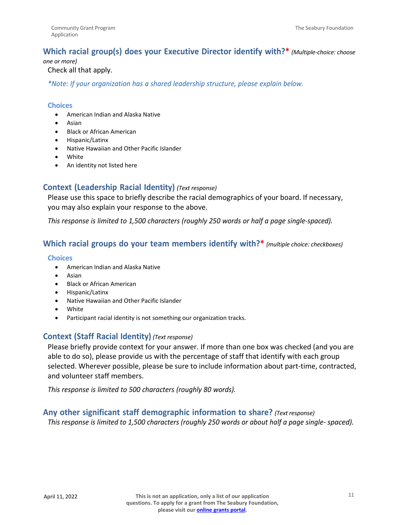# **Which racial group(s) does your Executive Director identify with?\*** *(Multiple-choice: choose*

#### *one or more)*

### Check all that apply.

*\*Note: If your organization has a shared leadership structure, please explain below.*

### **Choices**

- American Indian and Alaska Native
- Asian
- Black or African American
- Hispanic/Latinx
- Native Hawaiian and Other Pacific Islander
- White
- An identity not listed here

# **Context (Leadership Racial Identity)** *(Text response)*

Please use this space to briefly describe the racial demographics of your board. If necessary, you may also explain your response to the above.

*This response is limited to 1,500 characters (roughly 250 words or half a page single-spaced).*

# **Which racial groups do your team members identify with?\*** *(multiple choice: checkboxes)*

### **Choices**

- American Indian and Alaska Native
- Asian
- Black or African American
- Hispanic/Latinx
- Native Hawaiian and Other Pacific Islander
- White
- Participant racial identity is not something our organization tracks.

# **Context (Staff Racial Identity)** *(Text response)*

Please briefly provide context for your answer. If more than one box was checked (and you are able to do so), please provide us with the percentage of staff that identify with each group selected. Wherever possible, please be sure to include information about part-time, contracted, and volunteer staff members.

*This response is limited to 500 characters (roughly 80 words).*

# **Any other significant staff demographic information to share?** *(Text response)*

*This response is limited to 1,500 characters (roughly 250 words or about half a page single- spaced).*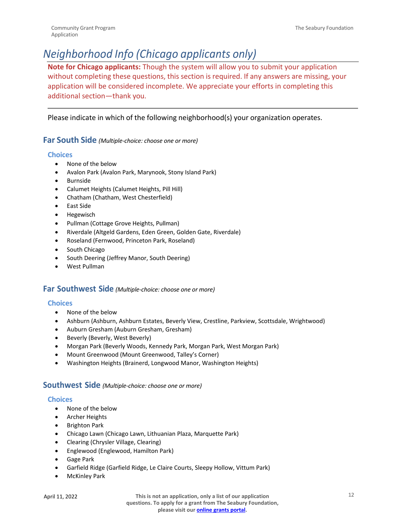# *Neighborhood Info (Chicago applicants only)*

**Note for Chicago applicants:** Though the system will allow you to submit your application without completing these questions, this section is required. If any answers are missing, your application will be considered incomplete. We appreciate your efforts in completing this additional section—thank you.

### Please indicate in which of the following neighborhood(s) your organization operates.

### **Far South Side** *(Multiple-choice: choose one or more)*

### **Choices**

- None of the below
- Avalon Park (Avalon Park, Marynook, Stony Island Park)
- Burnside
- Calumet Heights (Calumet Heights, Pill Hill)
- Chatham (Chatham, West Chesterfield)
- East Side
- Hegewisch
- Pullman (Cottage Grove Heights, Pullman)
- Riverdale (Altgeld Gardens, Eden Green, Golden Gate, Riverdale)
- Roseland (Fernwood, Princeton Park, Roseland)
- South Chicago
- South Deering (Jeffrey Manor, South Deering)
- West Pullman

### **Far Southwest Side** *(Multiple-choice: choose one or more)*

### **Choices**

- None of the below
- Ashburn (Ashburn, Ashburn Estates, Beverly View, Crestline, Parkview, Scottsdale, Wrightwood)
- Auburn Gresham (Auburn Gresham, Gresham)
- Beverly (Beverly, West Beverly)
- Morgan Park (Beverly Woods, Kennedy Park, Morgan Park, West Morgan Park)
- Mount Greenwood (Mount Greenwood, Talley's Corner)
- Washington Heights (Brainerd, Longwood Manor, Washington Heights)

### **Southwest Side** *(Multiple-choice: choose one or more)*

#### **Choices**

- None of the below
- Archer Heights
- Brighton Park
- Chicago Lawn (Chicago Lawn, Lithuanian Plaza, Marquette Park)
- Clearing (Chrysler Village, Clearing)
- Englewood (Englewood, Hamilton Park)
- Gage Park
- Garfield Ridge (Garfield Ridge, Le Claire Courts, Sleepy Hollow, Vittum Park)
- McKinley Park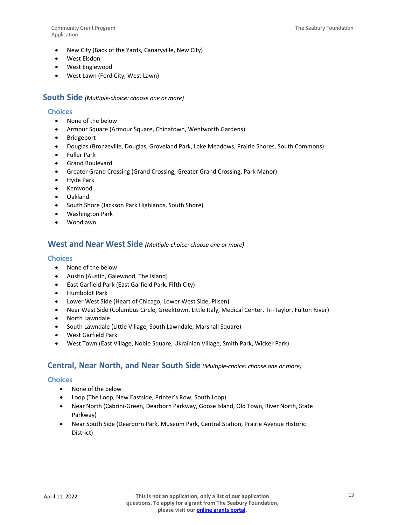Community Grant Program Application

- New City (Back of the Yards, Canaryville, New City)
- West Elsdon
- West Englewood
- West Lawn (Ford City, West Lawn)

### **South Side** *(Multiple-choice: choose one or more)*

### **Choices**

- None of the below
- Armour Square (Armour Square, Chinatown, Wentworth Gardens)
- **Bridgeport**
- Douglas (Bronzeville, Douglas, Groveland Park, Lake Meadows, Prairie Shores, South Commons)
- Fuller Park
- Grand Boulevard
- Greater Grand Crossing (Grand Crossing, Greater Grand Crossing, Park Manor)
- Hyde Park
- Kenwood
- Oakland
- South Shore (Jackson Park Highlands, South Shore)
- Washington Park
- Woodlawn

### **West and Near West Side** *(Multiple-choice: choose one or more)*

### **Choices**

- None of the below
- Austin (Austin, Galewood, The Island)
- East Garfield Park (East Garfield Park, Fifth City)
- Humboldt Park
- Lower West Side (Heart of Chicago, Lower West Side, Pilsen)
- Near West Side (Columbus Circle, Greektown, Little Italy, Medical Center, Tri-Taylor, Fulton River)
- North Lawndale
- South Lawndale (Little Village, South Lawndale, Marshall Square)
- West Garfield Park
- West Town (East Village, Noble Square, Ukrainian Village, Smith Park, Wicker Park)

# **Central, Near North, and Near South Side** *(Multiple-choice: choose one or more)*

#### **Choices**

- None of the below
- Loop (The Loop, New Eastside, Printer's Row, South Loop)
- Near North (Cabrini-Green, Dearborn Parkway, Goose Island, Old Town, River North, State Parkway)
- Near South Side (Dearborn Park, Museum Park, Central Station, Prairie Avenue Historic District)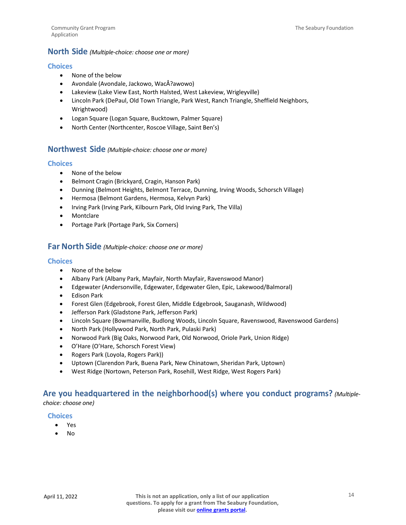### **North Side** *(Multiple-choice: choose one or more)*

### **Choices**

- None of the below
- Avondale (Avondale, Jackowo, WacÅ?awowo)
- Lakeview (Lake View East, North Halsted, West Lakeview, Wrigleyville)
- Lincoln Park (DePaul, Old Town Triangle, Park West, Ranch Triangle, Sheffield Neighbors, Wrightwood)
- Logan Square (Logan Square, Bucktown, Palmer Square)
- North Center (Northcenter, Roscoe Village, Saint Ben's)

### **Northwest Side** *(Multiple-choice: choose one or more)*

### **Choices**

- None of the below
- Belmont Cragin (Brickyard, Cragin, Hanson Park)
- Dunning (Belmont Heights, Belmont Terrace, Dunning, Irving Woods, Schorsch Village)
- Hermosa (Belmont Gardens, Hermosa, Kelvyn Park)
- Irving Park (Irving Park, Kilbourn Park, Old Irving Park, The Villa)
- Montclare
- Portage Park (Portage Park, Six Corners)

### **Far North Side** *(Multiple-choice: choose one or more)*

### **Choices**

- None of the below
- Albany Park (Albany Park, Mayfair, North Mayfair, Ravenswood Manor)
- Edgewater (Andersonville, Edgewater, Edgewater Glen, Epic, Lakewood/Balmoral)
- Edison Park
- Forest Glen (Edgebrook, Forest Glen, Middle Edgebrook, Sauganash, Wildwood)
- Jefferson Park (Gladstone Park, Jefferson Park)
- Lincoln Square (Bowmanville, Budlong Woods, Lincoln Square, Ravenswood, Ravenswood Gardens)
- North Park (Hollywood Park, North Park, Pulaski Park)
- Norwood Park (Big Oaks, Norwood Park, Old Norwood, Oriole Park, Union Ridge)
- O'Hare (O'Hare, Schorsch Forest View)
- Rogers Park (Loyola, Rogers Park))
- Uptown (Clarendon Park, Buena Park, New Chinatown, Sheridan Park, Uptown)
- West Ridge (Nortown, Peterson Park, Rosehill, West Ridge, West Rogers Park)

## **Are you headquartered in the neighborhood(s) where you conduct programs?** *(Multiplechoice: choose one)*

#### **Choices**

- Yes
- $N<sub>0</sub>$